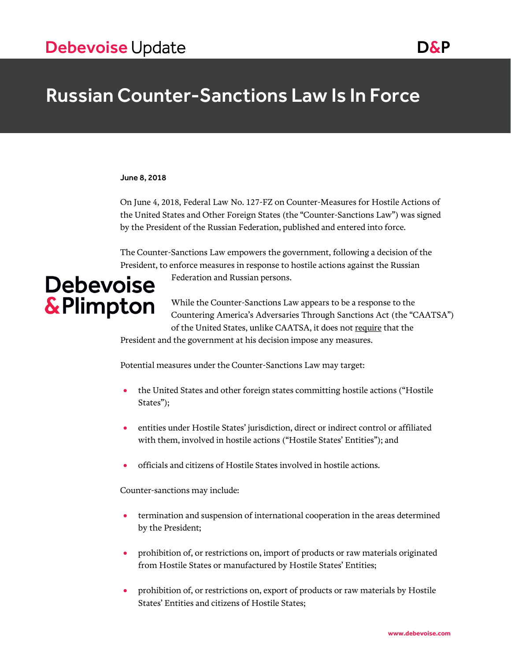## Russian Counter-Sanctions Law Is In Force

### June 8, 2018

On June 4, 2018, Federal Law No. 127-FZ on Counter-Measures for Hostile Actions of the United States and Other Foreign States (the "Counter-Sanctions Law") was signed by the President of the Russian Federation, published and entered into force.

The Counter-Sanctions Law empowers the government, following a decision of the President, to enforce measures in response to hostile actions against the Russian

Federation and Russian persons.

# **Debevoise &Plimpton**

While the Counter-Sanctions Law appears to be a response to the Countering America's Adversaries Through Sanctions Act (the "CAATSA") of the United States, unlike CAATSA, it does not require that the

President and the government at his decision impose any measures.

Potential measures under the Counter-Sanctions Law may target:

- the United States and other foreign states committing hostile actions ("Hostile States");
- entities under Hostile States' jurisdiction, direct or indirect control or affiliated with them, involved in hostile actions ("Hostile States' Entities"); and
- officials and citizens of Hostile States involved in hostile actions.

Counter-sanctions may include:

- termination and suspension of international cooperation in the areas determined by the President;
- prohibition of, or restrictions on, import of products or raw materials originated from Hostile States or manufactured by Hostile States' Entities;
- prohibition of, or restrictions on, export of products or raw materials by Hostile States' Entities and citizens of Hostile States;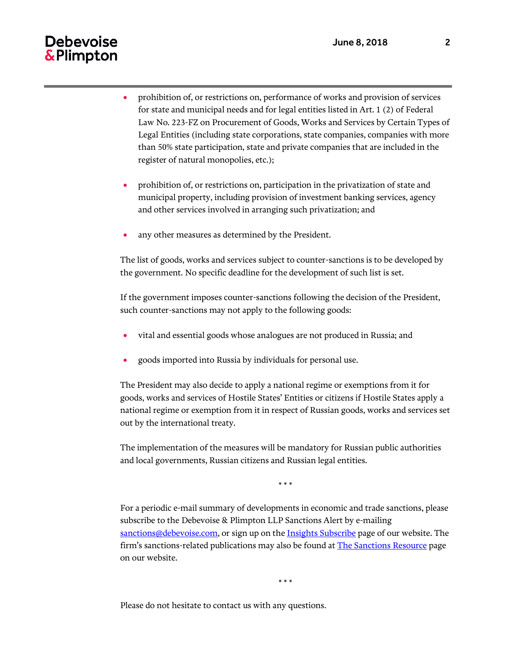### **Debevoise** & Plimpton

- prohibition of, or restrictions on, performance of works and provision of services for state and municipal needs and for legal entities listed in Art. 1 (2) of Federal Law No. 223-FZ on Procurement of Goods, Works and Services by Certain Types of Legal Entities (including state corporations, state companies, companies with more than 50% state participation, state and private companies that are included in the register of natural monopolies, etc.);
- prohibition of, or restrictions on, participation in the privatization of state and municipal property, including provision of investment banking services, agency and other services involved in arranging such privatization; and
- any other measures as determined by the President.

The list of goods, works and services subject to counter-sanctions is to be developed by the government. No specific deadline for the development of such list is set.

If the government imposes counter-sanctions following the decision of the President, such counter-sanctions may not apply to the following goods:

- vital and essential goods whose analogues are not produced in Russia; and
- goods imported into Russia by individuals for personal use.

The President may also decide to apply a national regime or exemptions from it for goods, works and services of Hostile States' Entities or citizens if Hostile States apply a national regime or exemption from it in respect of Russian goods, works and services set out by the international treaty.

The implementation of the measures will be mandatory for Russian public authorities and local governments, Russian citizens and Russian legal entities.

\* \* \*

For a periodic e-mail summary of developments in economic and trade sanctions, please subscribe to the Debevoise & Plimpton LLP Sanctions Alert by e-mailing [sanctions@debevoise.com,](mailto:%20sanctions@debevoise.com) or sign up on the [Insights Subscribe](http://www.debevoise.com/insights/insights-subscribe-page) page of our website. The firm's sanctions-related publications may also be found at [The Sanctions Resource](http://www.debevoise.com/insights/news/the-sanctions-resource) page on our website.

\* \* \*

Please do not hesitate to contact us with any questions.